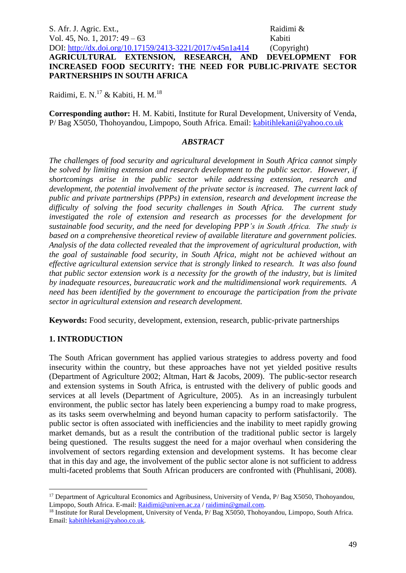S. Afr. J. Agric. Ext., Raidimi & Vol. 45, No. 1, 2017: 49 – 63 Kabiti DOI: <http://dx.doi.org/10.17159/2413-3221/2017/v45n1a414> (Copyright)

# **AGRICULTURAL EXTENSION, RESEARCH, AND DEVELOPMENT FOR INCREASED FOOD SECURITY: THE NEED FOR PUBLIC-PRIVATE SECTOR PARTNERSHIPS IN SOUTH AFRICA**

Raidimi, E. N.<sup>17</sup> & Kabiti, H. M.<sup>18</sup>

**Corresponding author:** H. M. Kabiti, Institute for Rural Development, University of Venda, P/ Bag X5050, Thohoyandou, Limpopo, South Africa. Email: [kabitihlekani@yahoo.co.uk](mailto:kabitihlekani@yahoo.co.uk)

#### *ABSTRACT*

*The challenges of food security and agricultural development in South Africa cannot simply be solved by limiting extension and research development to the public sector. However, if shortcomings arise in the public sector while addressing extension, research and development, the potential involvement of the private sector is increased. The current lack of public and private partnerships (PPPs) in extension, research and development increase the difficulty of solving the food security challenges in South Africa. The current study investigated the role of extension and research as processes for the development for sustainable food security, and the need for developing PPP's in South Africa. The study is based on a comprehensive theoretical review of available literature and government policies. Analysis of the data collected revealed that the improvement of agricultural production, with the goal of sustainable food security, in South Africa, might not be achieved without an effective agricultural extension service that is strongly linked to research. It was also found that public sector extension work is a necessity for the growth of the industry, but is limited by inadequate resources, bureaucratic work and the multidimensional work requirements. A need has been identified by the government to encourage the participation from the private sector in agricultural extension and research development.*

**Keywords:** Food security, development, extension, research, public-private partnerships

## **1. INTRODUCTION**

1

The South African government has applied various strategies to address poverty and food insecurity within the country, but these approaches have not yet yielded positive results (Department of Agriculture 2002; Altman, Hart & Jacobs, 2009). The public-sector research and extension systems in South Africa, is entrusted with the delivery of public goods and services at all levels (Department of Agriculture, 2005). As in an increasingly turbulent environment, the public sector has lately been experiencing a bumpy road to make progress, as its tasks seem overwhelming and beyond human capacity to perform satisfactorily. The public sector is often associated with inefficiencies and the inability to meet rapidly growing market demands, but as a result the contribution of the traditional public sector is largely being questioned. The results suggest the need for a major overhaul when considering the involvement of sectors regarding extension and development systems. It has become clear that in this day and age, the involvement of the public sector alone is not sufficient to address multi-faceted problems that South African producers are confronted with (Phuhlisani, 2008).

<sup>&</sup>lt;sup>17</sup> Department of Agricultural Economics and Agribusiness, University of Venda, P/ Bag X5050, Thohoyandou, Limpopo, South Africa. E-mail[: Raidimi@univen.ac.za](mailto:Raidimi@univen.ac.za) / raidimin@gmail.com.

<sup>&</sup>lt;sup>18</sup> Institute for Rural Development, University of Venda, P/ Bag X5050, Thohoyandou, Limpopo, South Africa. Email: [kabitihlekani@yahoo.co.uk.](mailto:kabitihlekani@yahoo.co.uk)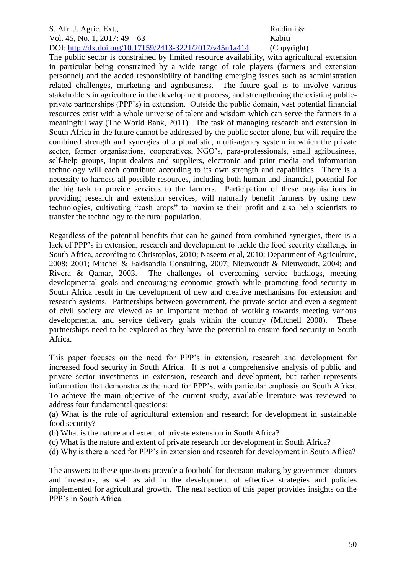# S. Afr. J. Agric. Ext., and the same state of the state of the Raidimi & Vol. 45, No. 1, 2017: 49 – 63 Kabiti

DOI: <http://dx.doi.org/10.17159/2413-3221/2017/v45n1a414> (Copyright)

The public sector is constrained by limited resource availability, with agricultural extension in particular being constrained by a wide range of role players (farmers and extension personnel) and the added responsibility of handling emerging issues such as administration related challenges, marketing and agribusiness. The future goal is to involve various stakeholders in agriculture in the development process, and strengthening the existing publicprivate partnerships (PPP's) in extension. Outside the public domain, vast potential financial resources exist with a whole universe of talent and wisdom which can serve the farmers in a meaningful way (The World Bank, 2011). The task of managing research and extension in South Africa in the future cannot be addressed by the public sector alone, but will require the combined strength and synergies of a pluralistic, multi-agency system in which the private sector, farmer organisations, cooperatives, NGO's, para-professionals, small agribusiness, self-help groups, input dealers and suppliers, electronic and print media and information technology will each contribute according to its own strength and capabilities. There is a necessity to harness all possible resources, including both human and financial, potential for the big task to provide services to the farmers. Participation of these organisations in providing research and extension services, will naturally benefit farmers by using new technologies, cultivating "cash crops" to maximise their profit and also help scientists to transfer the technology to the rural population.

Regardless of the potential benefits that can be gained from combined synergies, there is a lack of PPP's in extension, research and development to tackle the food security challenge in South Africa, according to Christoplos, 2010; Naseem et al, 2010; Department of Agriculture, 2008; 2001; Mitchel & Fakisandla Consulting, 2007; Nieuwoudt & Nieuwoudt, 2004; and Rivera & Qamar, 2003. The challenges of overcoming service backlogs, meeting developmental goals and encouraging economic growth while promoting food security in South Africa result in the development of new and creative mechanisms for extension and research systems. Partnerships between government, the private sector and even a segment of civil society are viewed as an important method of working towards meeting various developmental and service delivery goals within the country (Mitchell 2008). These partnerships need to be explored as they have the potential to ensure food security in South Africa.

This paper focuses on the need for PPP's in extension, research and development for increased food security in South Africa. It is not a comprehensive analysis of public and private sector investments in extension, research and development, but rather represents information that demonstrates the need for PPP's, with particular emphasis on South Africa. To achieve the main objective of the current study, available literature was reviewed to address four fundamental questions:

(a) What is the role of agricultural extension and research for development in sustainable food security?

- (b) What is the nature and extent of private extension in South Africa?
- (c) What is the nature and extent of private research for development in South Africa?
- (d) Why is there a need for PPP's in extension and research for development in South Africa?

The answers to these questions provide a foothold for decision-making by government donors and investors, as well as aid in the development of effective strategies and policies implemented for agricultural growth. The next section of this paper provides insights on the PPP's in South Africa.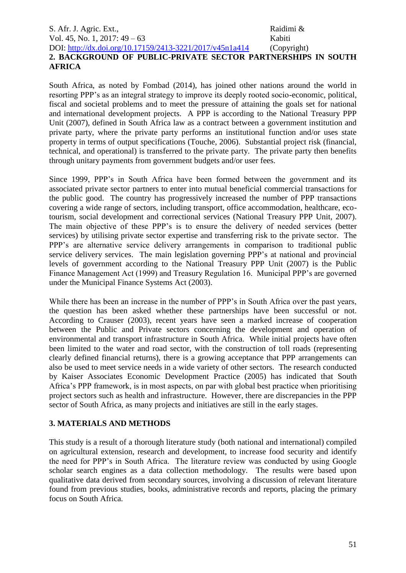S. Afr. J. Agric. Ext., Raidimi & Vol. 45, No. 1, 2017: 49 – 63 Kabiti DOI: <http://dx.doi.org/10.17159/2413-3221/2017/v45n1a414> (Copyright) **2. BACKGROUND OF PUBLIC-PRIVATE SECTOR PARTNERSHIPS IN SOUTH AFRICA**

South Africa, as noted by Fombad (2014), has joined other nations around the world in resorting PPP's as an integral strategy to improve its deeply rooted socio-economic, political, fiscal and societal problems and to meet the pressure of attaining the goals set for national and international development projects. A PPP is according to the National Treasury PPP Unit (2007), defined in South Africa law as a contract between a government institution and private party, where the private party performs an institutional function and/or uses state property in terms of output specifications (Touche, 2006). Substantial project risk (financial, technical, and operational) is transferred to the private party. The private party then benefits through unitary payments from government budgets and/or user fees.

Since 1999, PPP's in South Africa have been formed between the government and its associated private sector partners to enter into mutual beneficial commercial transactions for the public good. The country has progressively increased the number of PPP transactions covering a wide range of sectors, including transport, office accommodation, healthcare, ecotourism, social development and correctional services (National Treasury PPP Unit, 2007). The main objective of these PPP's is to ensure the delivery of needed services (better services) by utilising private sector expertise and transferring risk to the private sector. The PPP's are alternative service delivery arrangements in comparison to traditional public service delivery services. The main legislation governing PPP's at national and provincial levels of government according to the National Treasury PPP Unit (2007) is the Public Finance Management Act (1999) and Treasury Regulation 16. Municipal PPP's are governed under the Municipal Finance Systems Act (2003).

While there has been an increase in the number of PPP's in South Africa over the past years, the question has been asked whether these partnerships have been successful or not. According to Crauser (2003), recent years have seen a marked increase of cooperation between the Public and Private sectors concerning the development and operation of environmental and transport infrastructure in South Africa. While initial projects have often been limited to the water and road sector, with the construction of toll roads (representing clearly defined financial returns), there is a growing acceptance that PPP arrangements can also be used to meet service needs in a wide variety of other sectors. The research conducted by Kaiser Associates Economic Development Practice (2005) has indicated that South Africa's PPP framework, is in most aspects, on par with global best practice when prioritising project sectors such as health and infrastructure. However, there are discrepancies in the PPP sector of South Africa, as many projects and initiatives are still in the early stages.

## **3. MATERIALS AND METHODS**

This study is a result of a thorough literature study (both national and international) compiled on agricultural extension, research and development, to increase food security and identify the need for PPP's in South Africa. The literature review was conducted by using Google scholar search engines as a data collection methodology. The results were based upon qualitative data derived from secondary sources, involving a discussion of relevant literature found from previous studies, books, administrative records and reports, placing the primary focus on South Africa.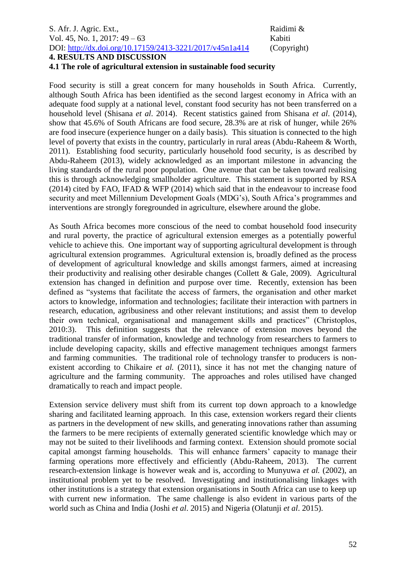# S. Afr. J. Agric. Ext., and the same state of the state of the Raidimi & Vol. 45, No. 1, 2017: 49 – 63 Kabiti DOI: <http://dx.doi.org/10.17159/2413-3221/2017/v45n1a414> (Copyright)

**4. RESULTS AND DISCUSSION** 

#### **4.1 The role of agricultural extension in sustainable food security**

Food security is still a great concern for many households in South Africa. Currently, although South Africa has been identified as the second largest economy in Africa with an adequate food supply at a national level, constant food security has not been transferred on a household level (Shisana *et al*. 2014). Recent statistics gained from Shisana *et al*. (2014), show that 45.6% of South Africans are food secure, 28.3% are at risk of hunger, while 26% are food insecure (experience hunger on a daily basis). This situation is connected to the high level of poverty that exists in the country, particularly in rural areas (Abdu-Raheem & Worth, 2011). Establishing food security, particularly household food security, is as described by Abdu-Raheem (2013), widely acknowledged as an important milestone in advancing the living standards of the rural poor population. One avenue that can be taken toward realising this is through acknowledging smallholder agriculture. This statement is supported by RSA (2014) cited by FAO, IFAD & WFP (2014) which said that in the endeavour to increase food security and meet Millennium Development Goals (MDG's), South Africa's programmes and interventions are strongly foregrounded in agriculture, elsewhere around the globe.

As South Africa becomes more conscious of the need to combat household food insecurity and rural poverty, the practice of agricultural extension emerges as a potentially powerful vehicle to achieve this. One important way of supporting agricultural development is through agricultural extension programmes. Agricultural extension is, broadly defined as the process of development of agricultural knowledge and skills amongst farmers, aimed at increasing their productivity and realising other desirable changes (Collett & Gale, 2009). Agricultural extension has changed in definition and purpose over time. Recently, extension has been defined as "systems that facilitate the access of farmers, the organisation and other market actors to knowledge, information and technologies; facilitate their interaction with partners in research, education, agribusiness and other relevant institutions; and assist them to develop their own technical, organisational and management skills and practices" (Christoplos, 2010:3). This definition suggests that the relevance of extension moves beyond the traditional transfer of information, knowledge and technology from researchers to farmers to include developing capacity, skills and effective management techniques amongst farmers and farming communities. The traditional role of technology transfer to producers is nonexistent according to Chikaire *et al.* (2011), since it has not met the changing nature of agriculture and the farming community. The approaches and roles utilised have changed dramatically to reach and impact people.

Extension service delivery must shift from its current top down approach to a knowledge sharing and facilitated learning approach. In this case, extension workers regard their clients as partners in the development of new skills, and generating innovations rather than assuming the farmers to be mere recipients of externally generated scientific knowledge which may or may not be suited to their livelihoods and farming context. Extension should promote social capital amongst farming households. This will enhance farmers' capacity to manage their farming operations more effectively and efficiently (Abdu-Raheem, 2013). The current research-extension linkage is however weak and is, according to Munyuwa *et al.* (2002), an institutional problem yet to be resolved. Investigating and institutionalising linkages with other institutions is a strategy that extension organisations in South Africa can use to keep up with current new information. The same challenge is also evident in various parts of the world such as China and India (Joshi *et al*. 2015) and Nigeria (Olatunji *et al*. 2015).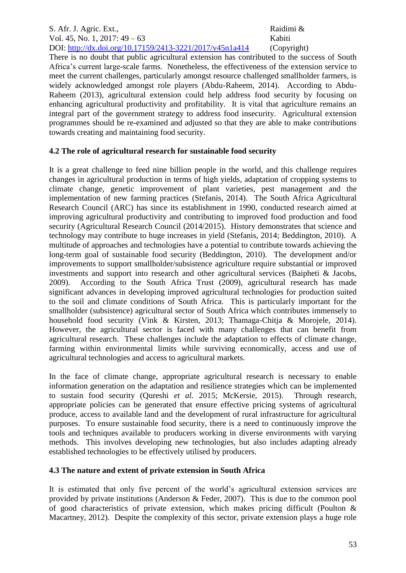#### S. Afr. J. Agric. Ext., Raidimi & Vol. 45, No. 1, 2017: 49 – 63 Kabiti DOI: <http://dx.doi.org/10.17159/2413-3221/2017/v45n1a414> (Copyright)

There is no doubt that public agricultural extension has contributed to the success of South Africa's current large-scale farms. Nonetheless, the effectiveness of the extension service to meet the current challenges, particularly amongst resource challenged smallholder farmers, is widely acknowledged amongst role players (Abdu-Raheem, 2014). According to Abdu-Raheem (2013), agricultural extension could help address food security by focusing on enhancing agricultural productivity and profitability. It is vital that agriculture remains an integral part of the government strategy to address food insecurity. Agricultural extension programmes should be re-examined and adjusted so that they are able to make contributions towards creating and maintaining food security.

# **4.2 The role of agricultural research for sustainable food security**

It is a great challenge to feed nine billion people in the world, and this challenge requires changes in agricultural production in terms of high yields, adaptation of cropping systems to climate change, genetic improvement of plant varieties, pest management and the implementation of new farming practices (Stefanis, 2014). The South Africa Agricultural Research Council (ARC) has since its establishment in 1990, conducted research aimed at improving agricultural productivity and contributing to improved food production and food security (Agricultural Research Council (2014/2015). History demonstrates that science and technology may contribute to huge increases in yield (Stefanis, 2014; Beddington, 2010). A multitude of approaches and technologies have a potential to contribute towards achieving the long-term goal of sustainable food security (Beddington, 2010). The development and/or improvements to support smallholder/subsistence agriculture require substantial or improved investments and support into research and other agricultural services (Baipheti & Jacobs, 2009). According to the South Africa Trust (2009), agricultural research has made significant advances in developing improved agricultural technologies for production suited to the soil and climate conditions of South Africa. This is particularly important for the smallholder (subsistence) agricultural sector of South Africa which contributes immensely to household food security (Vink & Kirsten, 2013; Thamaga-Chitja & Morojele, 2014). However, the agricultural sector is faced with many challenges that can benefit from agricultural research. These challenges include the adaptation to effects of climate change, farming within environmental limits while surviving economically, access and use of agricultural technologies and access to agricultural markets.

In the face of climate change, appropriate agricultural research is necessary to enable information generation on the adaptation and resilience strategies which can be implemented to sustain food security (Qureshi *et al.* 2015; McKersie, 2015). Through research, appropriate policies can be generated that ensure effective pricing systems of agricultural produce, access to available land and the development of rural infrastructure for agricultural purposes. To ensure sustainable food security, there is a need to continuously improve the tools and techniques available to producers working in diverse environments with varying methods. This involves developing new technologies, but also includes adapting already established technologies to be effectively utilised by producers.

# **4.3 The nature and extent of private extension in South Africa**

It is estimated that only five percent of the world's agricultural extension services are provided by private institutions (Anderson & Feder, 2007). This is due to the common pool of good characteristics of private extension, which makes pricing difficult (Poulton & Macartney, 2012). Despite the complexity of this sector, private extension plays a huge role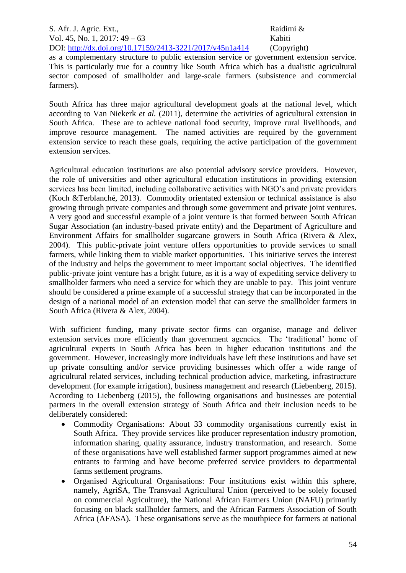as a complementary structure to public extension service or government extension service. This is particularly true for a country like South Africa which has a dualistic agricultural sector composed of smallholder and large-scale farmers (subsistence and commercial farmers).

South Africa has three major agricultural development goals at the national level, which according to Van Niekerk *et al.* (2011), determine the activities of agricultural extension in South Africa. These are to achieve national food security, improve rural livelihoods, and improve resource management. The named activities are required by the government extension service to reach these goals, requiring the active participation of the government extension services.

Agricultural education institutions are also potential advisory service providers. However, the role of universities and other agricultural education institutions in providing extension services has been limited, including collaborative activities with NGO's and private providers (Koch &Terblanché, 2013). Commodity orientated extension or technical assistance is also growing through private companies and through some government and private joint ventures. A very good and successful example of a joint venture is that formed between South African Sugar Association (an industry-based private entity) and the Department of Agriculture and Environment Affairs for smallholder sugarcane growers in South Africa (Rivera & Alex, 2004). This public-private joint venture offers opportunities to provide services to small farmers, while linking them to viable market opportunities. This initiative serves the interest of the industry and helps the government to meet important social objectives. The identified public-private joint venture has a bright future, as it is a way of expediting service delivery to smallholder farmers who need a service for which they are unable to pay. This joint venture should be considered a prime example of a successful strategy that can be incorporated in the design of a national model of an extension model that can serve the smallholder farmers in South Africa (Rivera & Alex, 2004).

With sufficient funding, many private sector firms can organise, manage and deliver extension services more efficiently than government agencies. The 'traditional' home of agricultural experts in South Africa has been in higher education institutions and the government. However, increasingly more individuals have left these institutions and have set up private consulting and/or service providing businesses which offer a wide range of agricultural related services, including technical production advice, marketing, infrastructure development (for example irrigation), business management and research (Liebenberg, 2015). According to Liebenberg (2015), the following organisations and businesses are potential partners in the overall extension strategy of South Africa and their inclusion needs to be deliberately considered:

- Commodity Organisations: About 33 commodity organisations currently exist in South Africa. They provide services like producer representation industry promotion, information sharing, quality assurance, industry transformation, and research. Some of these organisations have well established farmer support programmes aimed at new entrants to farming and have become preferred service providers to departmental farms settlement programs.
- Organised Agricultural Organisations: Four institutions exist within this sphere, namely, AgriSA, The Transvaal Agricultural Union (perceived to be solely focused on commercial Agriculture), the National African Farmers Union (NAFU) primarily focusing on black stallholder farmers, and the African Farmers Association of South Africa (AFASA). These organisations serve as the mouthpiece for farmers at national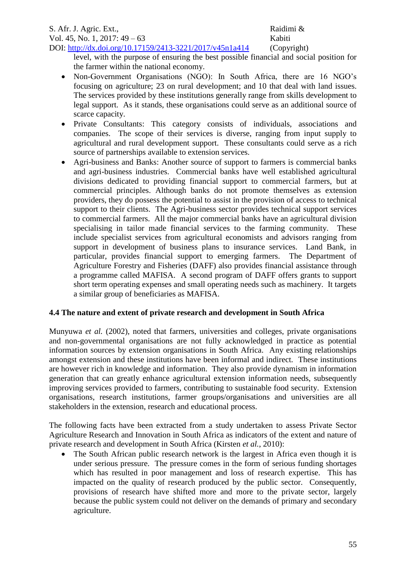level, with the purpose of ensuring the best possible financial and social position for the farmer within the national economy.

- Non-Government Organisations (NGO): In South Africa, there are 16 NGO's focusing on agriculture; 23 on rural development; and 10 that deal with land issues. The services provided by these institutions generally range from skills development to legal support. As it stands, these organisations could serve as an additional source of scarce capacity.
- Private Consultants: This category consists of individuals, associations and companies. The scope of their services is diverse, ranging from input supply to agricultural and rural development support. These consultants could serve as a rich source of partnerships available to extension services.
- Agri-business and Banks: Another source of support to farmers is commercial banks and agri-business industries. Commercial banks have well established agricultural divisions dedicated to providing financial support to commercial farmers, but at commercial principles. Although banks do not promote themselves as extension providers, they do possess the potential to assist in the provision of access to technical support to their clients. The Agri-business sector provides technical support services to commercial farmers. All the major commercial banks have an agricultural division specialising in tailor made financial services to the farming community. These include specialist services from agricultural economists and advisors ranging from support in development of business plans to insurance services. Land Bank, in particular, provides financial support to emerging farmers. The Department of Agriculture Forestry and Fisheries (DAFF) also provides financial assistance through a programme called MAFISA. A second program of DAFF offers grants to support short term operating expenses and small operating needs such as machinery. It targets a similar group of beneficiaries as MAFISA.

# **4.4 The nature and extent of private research and development in South Africa**

Munyuwa *et al.* (2002), noted that farmers, universities and colleges, private organisations and non-governmental organisations are not fully acknowledged in practice as potential information sources by extension organisations in South Africa. Any existing relationships amongst extension and these institutions have been informal and indirect. These institutions are however rich in knowledge and information. They also provide dynamism in information generation that can greatly enhance agricultural extension information needs, subsequently improving services provided to farmers, contributing to sustainable food security. Extension organisations, research institutions, farmer groups/organisations and universities are all stakeholders in the extension, research and educational process.

The following facts have been extracted from a study undertaken to assess Private Sector Agriculture Research and Innovation in South Africa as indicators of the extent and nature of private research and development in South Africa (Kirsten *et al.*, 2010):

The South African public research network is the largest in Africa even though it is under serious pressure. The pressure comes in the form of serious funding shortages which has resulted in poor management and loss of research expertise. This has impacted on the quality of research produced by the public sector. Consequently, provisions of research have shifted more and more to the private sector, largely because the public system could not deliver on the demands of primary and secondary agriculture.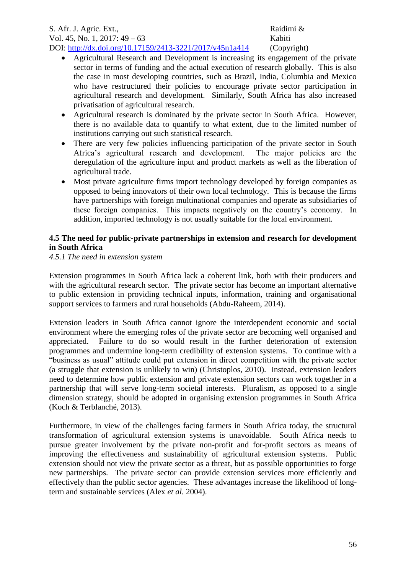#### S. Afr. J. Agric. Ext., Raidimi & Vol. 45, No. 1, 2017: 49 – 63 Kabiti DOI: <http://dx.doi.org/10.17159/2413-3221/2017/v45n1a414> (Copyright)

- Agricultural Research and Development is increasing its engagement of the private sector in terms of funding and the actual execution of research globally. This is also the case in most developing countries, such as Brazil, India, Columbia and Mexico who have restructured their policies to encourage private sector participation in agricultural research and development. Similarly, South Africa has also increased privatisation of agricultural research.
- Agricultural research is dominated by the private sector in South Africa. However, there is no available data to quantify to what extent, due to the limited number of institutions carrying out such statistical research.
- There are very few policies influencing participation of the private sector in South Africa's agricultural research and development. The major policies are the deregulation of the agriculture input and product markets as well as the liberation of agricultural trade.
- Most private agriculture firms import technology developed by foreign companies as opposed to being innovators of their own local technology. This is because the firms have partnerships with foreign multinational companies and operate as subsidiaries of these foreign companies. This impacts negatively on the country's economy. In addition, imported technology is not usually suitable for the local environment.

# **4.5 The need for public-private partnerships in extension and research for development in South Africa**

*4.5.1 The need in extension system*

Extension programmes in South Africa lack a coherent link, both with their producers and with the agricultural research sector. The private sector has become an important alternative to public extension in providing technical inputs, information, training and organisational support services to farmers and rural households (Abdu-Raheem, 2014).

Extension leaders in South Africa cannot ignore the interdependent economic and social environment where the emerging roles of the private sector are becoming well organised and appreciated. Failure to do so would result in the further deterioration of extension programmes and undermine long-term credibility of extension systems. To continue with a "business as usual" attitude could put extension in direct competition with the private sector (a struggle that extension is unlikely to win) (Christoplos, 2010). Instead, extension leaders need to determine how public extension and private extension sectors can work together in a partnership that will serve long-term societal interests. Pluralism, as opposed to a single dimension strategy, should be adopted in organising extension programmes in South Africa (Koch & Terblanché, 2013).

Furthermore, in view of the challenges facing farmers in South Africa today, the structural transformation of agricultural extension systems is unavoidable. South Africa needs to pursue greater involvement by the private non-profit and for-profit sectors as means of improving the effectiveness and sustainability of agricultural extension systems. Public extension should not view the private sector as a threat, but as possible opportunities to forge new partnerships. The private sector can provide extension services more efficiently and effectively than the public sector agencies. These advantages increase the likelihood of longterm and sustainable services (Alex *et al.* 2004).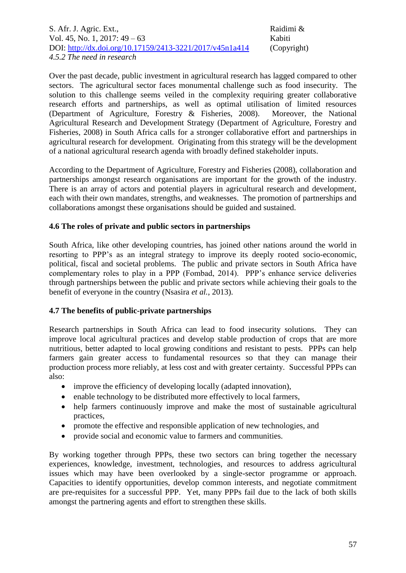S. Afr. J. Agric. Ext., Raidimi & Vol. 45, No. 1, 2017: 49 – 63 Kabiti DOI: <http://dx.doi.org/10.17159/2413-3221/2017/v45n1a414> (Copyright) *4.5.2 The need in research*

Over the past decade, public investment in agricultural research has lagged compared to other sectors. The agricultural sector faces monumental challenge such as food insecurity. The solution to this challenge seems veiled in the complexity requiring greater collaborative research efforts and partnerships, as well as optimal utilisation of limited resources (Department of Agriculture, Forestry & Fisheries, 2008). Moreover, the National Agricultural Research and Development Strategy (Department of Agriculture, Forestry and Fisheries, 2008) in South Africa calls for a stronger collaborative effort and partnerships in agricultural research for development. Originating from this strategy will be the development of a national agricultural research agenda with broadly defined stakeholder inputs.

According to the Department of Agriculture, Forestry and Fisheries (2008), collaboration and partnerships amongst research organisations are important for the growth of the industry. There is an array of actors and potential players in agricultural research and development, each with their own mandates, strengths, and weaknesses. The promotion of partnerships and collaborations amongst these organisations should be guided and sustained.

## **4.6 The roles of private and public sectors in partnerships**

South Africa, like other developing countries, has joined other nations around the world in resorting to PPP's as an integral strategy to improve its deeply rooted socio-economic, political, fiscal and societal problems. The public and private sectors in South Africa have complementary roles to play in a PPP (Fombad, 2014). PPP's enhance service deliveries through partnerships between the public and private sectors while achieving their goals to the benefit of everyone in the country (Nsasira *et al.*, 2013).

## **4.7 The benefits of public-private partnerships**

Research partnerships in South Africa can lead to food insecurity solutions. They can improve local agricultural practices and develop stable production of crops that are more nutritious, better adapted to local growing conditions and resistant to pests. PPPs can help farmers gain greater access to fundamental resources so that they can manage their production process more reliably, at less cost and with greater certainty. Successful PPPs can also:

- improve the efficiency of developing locally (adapted innovation),
- enable technology to be distributed more effectively to local farmers,
- help farmers continuously improve and make the most of sustainable agricultural practices,
- promote the effective and responsible application of new technologies, and
- provide social and economic value to farmers and communities.

By working together through PPPs, these two sectors can bring together the necessary experiences, knowledge, investment, technologies, and resources to address agricultural issues which may have been overlooked by a single-sector programme or approach. Capacities to identify opportunities, develop common interests, and negotiate commitment are pre-requisites for a successful PPP. Yet, many PPPs fail due to the lack of both skills amongst the partnering agents and effort to strengthen these skills.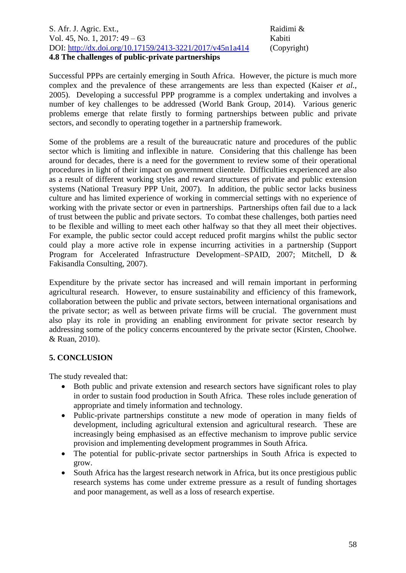#### S. Afr. J. Agric. Ext., and the same state of the state of the Raidimi & Vol. 45, No. 1, 2017: 49 – 63 Kabiti DOI: <http://dx.doi.org/10.17159/2413-3221/2017/v45n1a414> (Copyright) **4.8 The challenges of public-private partnerships**

Successful PPPs are certainly emerging in South Africa. However, the picture is much more complex and the prevalence of these arrangements are less than expected (Kaiser *et al.*, 2005). Developing a successful PPP programme is a complex undertaking and involves a number of key challenges to be addressed (World Bank Group, 2014). Various generic problems emerge that relate firstly to forming partnerships between public and private sectors, and secondly to operating together in a partnership framework.

Some of the problems are a result of the bureaucratic nature and procedures of the public sector which is limiting and inflexible in nature. Considering that this challenge has been around for decades, there is a need for the government to review some of their operational procedures in light of their impact on government clientele. Difficulties experienced are also as a result of different working styles and reward structures of private and public extension systems (National Treasury PPP Unit, 2007). In addition, the public sector lacks business culture and has limited experience of working in commercial settings with no experience of working with the private sector or even in partnerships. Partnerships often fail due to a lack of trust between the public and private sectors. To combat these challenges, both parties need to be flexible and willing to meet each other halfway so that they all meet their objectives. For example, the public sector could accept reduced profit margins whilst the public sector could play a more active role in expense incurring activities in a partnership (Support Program for Accelerated Infrastructure Development–SPAID, 2007; Mitchell, D & Fakisandla Consulting, 2007).

Expenditure by the private sector has increased and will remain important in performing agricultural research. However, to ensure sustainability and efficiency of this framework, collaboration between the public and private sectors, between international organisations and the private sector; as well as between private firms will be crucial. The government must also play its role in providing an enabling environment for private sector research by addressing some of the policy concerns encountered by the private sector (Kirsten, Choolwe. & Ruan, 2010).

## **5. CONCLUSION**

The study revealed that:

- Both public and private extension and research sectors have significant roles to play in order to sustain food production in South Africa. These roles include generation of appropriate and timely information and technology.
- Public-private partnerships constitute a new mode of operation in many fields of development, including agricultural extension and agricultural research. These are increasingly being emphasised as an effective mechanism to improve public service provision and implementing development programmes in South Africa.
- The potential for public-private sector partnerships in South Africa is expected to grow.
- South Africa has the largest research network in Africa, but its once prestigious public research systems has come under extreme pressure as a result of funding shortages and poor management, as well as a loss of research expertise.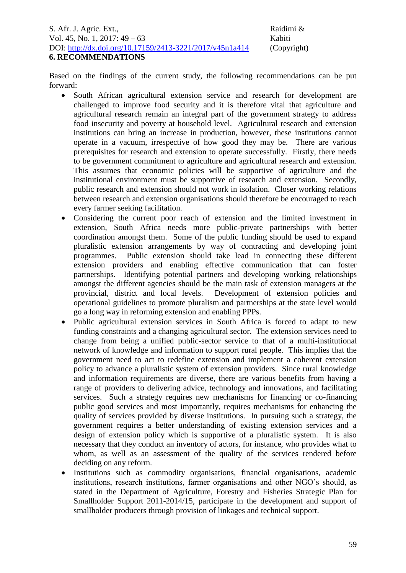Based on the findings of the current study, the following recommendations can be put forward:

- South African agricultural extension service and research for development are challenged to improve food security and it is therefore vital that agriculture and agricultural research remain an integral part of the government strategy to address food insecurity and poverty at household level. Agricultural research and extension institutions can bring an increase in production, however, these institutions cannot operate in a vacuum, irrespective of how good they may be. There are various prerequisites for research and extension to operate successfully. Firstly, there needs to be government commitment to agriculture and agricultural research and extension. This assumes that economic policies will be supportive of agriculture and the institutional environment must be supportive of research and extension. Secondly, public research and extension should not work in isolation. Closer working relations between research and extension organisations should therefore be encouraged to reach every farmer seeking facilitation.
- Considering the current poor reach of extension and the limited investment in extension, South Africa needs more public-private partnerships with better coordination amongst them. Some of the public funding should be used to expand pluralistic extension arrangements by way of contracting and developing joint programmes. Public extension should take lead in connecting these different extension providers and enabling effective communication that can foster partnerships. Identifying potential partners and developing working relationships amongst the different agencies should be the main task of extension managers at the provincial, district and local levels. Development of extension policies and operational guidelines to promote pluralism and partnerships at the state level would go a long way in reforming extension and enabling PPPs.
- Public agricultural extension services in South Africa is forced to adapt to new funding constraints and a changing agricultural sector. The extension services need to change from being a unified public-sector service to that of a multi-institutional network of knowledge and information to support rural people. This implies that the government need to act to redefine extension and implement a coherent extension policy to advance a pluralistic system of extension providers. Since rural knowledge and information requirements are diverse, there are various benefits from having a range of providers to delivering advice, technology and innovations, and facilitating services. Such a strategy requires new mechanisms for financing or co-financing public good services and most importantly, requires mechanisms for enhancing the quality of services provided by diverse institutions. In pursuing such a strategy, the government requires a better understanding of existing extension services and a design of extension policy which is supportive of a pluralistic system. It is also necessary that they conduct an inventory of actors, for instance, who provides what to whom, as well as an assessment of the quality of the services rendered before deciding on any reform.
- Institutions such as commodity organisations, financial organisations, academic institutions, research institutions, farmer organisations and other NGO's should, as stated in the Department of Agriculture, Forestry and Fisheries Strategic Plan for Smallholder Support 2011-2014/15, participate in the development and support of smallholder producers through provision of linkages and technical support.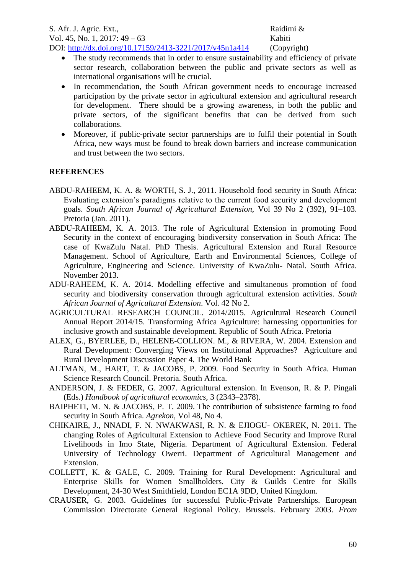- The study recommends that in order to ensure sustainability and efficiency of private sector research, collaboration between the public and private sectors as well as international organisations will be crucial.
- In recommendation, the South African government needs to encourage increased participation by the private sector in agricultural extension and agricultural research for development. There should be a growing awareness, in both the public and private sectors, of the significant benefits that can be derived from such collaborations.
- Moreover, if public-private sector partnerships are to fulfil their potential in South Africa, new ways must be found to break down barriers and increase communication and trust between the two sectors.

# **REFERENCES**

- ABDU-RAHEEM, K. A. & WORTH, S. J., 2011. Household food security in South Africa: Evaluating extension's paradigms relative to the current food security and development goals. *South African Journal of Agricultural Extension,* Vol 39 No 2 (392), 91–103. Pretoria (Jan. 2011).
- ABDU-RAHEEM, K. A. 2013. The role of Agricultural Extension in promoting Food Security in the context of encouraging biodiversity conservation in South Africa: The case of KwaZulu Natal. PhD Thesis. Agricultural Extension and Rural Resource Management. School of Agriculture, Earth and Environmental Sciences, College of Agriculture, Engineering and Science. University of KwaZulu- Natal. South Africa. November 2013.
- ADU-RAHEEM, K. A. 2014. Modelling effective and simultaneous promotion of food security and biodiversity conservation through agricultural extension activities. *South African Journal of Agricultural Extension*. Vol. 42 No 2.
- AGRICULTURAL RESEARCH COUNCIL. 2014/2015. Agricultural Research Council Annual Report 2014/15. Transforming Africa Agriculture: harnessing opportunities for inclusive growth and sustainable development. Republic of South Africa. Pretoria
- ALEX, G., BYERLEE, D., HELENE-COLLION. M., & RIVERA, W. 2004. Extension and Rural Development: Converging Views on Institutional Approaches? Agriculture and Rural Development Discussion Paper 4. The World Bank
- ALTMAN, M., HART, T. & JACOBS, P. 2009. Food Security in South Africa. Human Science Research Council. Pretoria. South Africa.
- ANDERSON, J. & FEDER, G. 2007. Agricultural extension. In Evenson, R. & P. Pingali (Eds.) *Handbook of agricultural economics,* 3 (2343–2378).
- BAIPHETI, M. N. & JACOBS, P. T. 2009. The contribution of subsistence farming to food security in South Africa. *Agrekon,* Vol 48, No 4*.*
- CHIKAIRE, J., NNADI, F. N. NWAKWASI, R. N. & EJIOGU- OKEREK, N. 2011. The changing Roles of Agricultural Extension to Achieve Food Security and Improve Rural Livelihoods in Imo State, Nigeria. Department of Agricultural Extension. Federal University of Technology Owerri. Department of Agricultural Management and Extension.
- COLLETT, K. & GALE, C. 2009. Training for Rural Development: Agricultural and Enterprise Skills for Women Smallholders*.* City & Guilds Centre for Skills Development, 24-30 West Smithfield, London EC1A 9DD, United Kingdom.
- CRAUSER, G. 2003. Guidelines for successful Public-Private Partnerships. European Commission Directorate General Regional Policy. Brussels. February 2003. *From*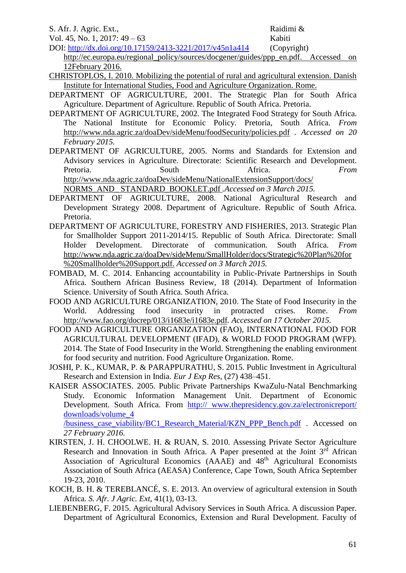S. Afr. J. Agric. Ext., Raidimi &

Vol. 45, No. 1, 2017: 49 – 63 Kabiti

DOI: <http://dx.doi.org/10.17159/2413-3221/2017/v45n1a414> (Copyright) http://ec.europa.eu/regional\_policy/sources/docgener/guides/ppp\_en.pdf. Accessed on [12February 2016.](http://ec.europa.eu/regional_policy/sources/docgener/guides/ppp_en.pdf.%20Accessed%20on%2012February%202016)

- CHRISTOPLOS, I. 2010. Mobilizing the potential of rural and agricultural extension. Danish Institute for International Studies, Food and Agriculture Organization. Rome.
- DEPARTMENT OF AGRICULTURE, 2001. The Strategic Plan for South Africa Agriculture. Department of Agriculture. Republic of South Africa. Pretoria.
- DEPARTMENT OF AGRICULTURE, 2002. The Integrated Food Strategy for South Africa. The National Institute for Economic Policy. Pretoria, South Africa. *From*  <http://www.nda.agric.za/doaDev/sideMenu/foodSecurity/policies.pdf> *. Accessed on 20 February 2015.*
- DEPARTMENT OF AGRICULTURE, 2005. Norms and Standards for Extension and Advisory services in Agriculture. Directorate: Scientific Research and Development. Pretoria. **South** South Africa. *From* [http://www.nda.agric.za/doaDev/sideMenu/NationalExtensionSupport/docs/](http://www.nda.agric.za/doaDev/sideMenu/NationalExtensionSupport/docs/%20NORMS_AND_%20STANDARD_BOOKLET.pdf)  [NORMS\\_AND\\_ STANDARD\\_BOOKLET.pdf](http://www.nda.agric.za/doaDev/sideMenu/NationalExtensionSupport/docs/%20NORMS_AND_%20STANDARD_BOOKLET.pdf) *.Accessed on 3 March 2015.*
- DEPARTMENT OF AGRICULTURE, 2008. National Agricultural Research and Development Strategy 2008. Department of Agriculture. Republic of South Africa. Pretoria.
- DEPARTMENT OF AGRICULTURE, FORESTRY AND FISHERIES, 2013. Strategic Plan for Smallholder Support 2011-2014/15. Republic of South Africa. Directorate: Small Holder Development. Directorate of communication. South Africa. *From*  [http://www.nda.agric.za/doaDev/sideMenu/SmallHolder/docs/Strategic%20Plan%20for](http://www.nda.agric.za/doaDev/sideMenu/SmallHolder/docs/Strategic%20Plan%20for%20Smallholder%20Support.pdf) [%20Smallholder%20Support.pdf.](http://www.nda.agric.za/doaDev/sideMenu/SmallHolder/docs/Strategic%20Plan%20for%20Smallholder%20Support.pdf) *Accessed on 3 March 2015.*
- FOMBAD, M. C. 2014. Enhancing accountability in Public-Private Partnerships in South Africa. Southern African Business Review, 18 (2014). Department of Information Science. University of South Africa. South Africa.
- FOOD AND AGRICULTURE ORGANIZATION, 2010. The State of Food Insecurity in the World. Addressing food insecurity in protracted crises. Rome. *From*  <http://www.fao.org/docrep/013/i1683e/i1683e.pdf>*. Accessed on 17 October 2015.*
- FOOD AND AGRICULTURE ORGANIZATION (FAO), INTERNATIONAL FOOD FOR AGRICULTURAL DEVELOPMENT (IFAD), & WORLD FOOD PROGRAM (WFP). 2014. The State of Food Insecurity in the World. Strengthening the enabling environment for food security and nutrition. Food Agriculture Organization. Rome.
- JOSHI, P. K., KUMAR, P. & PARAPPURATHU, S. 2015. Public Investment in Agricultural Research and Extension in India. *Eur J Exp Res,* (27) 438–451.
- KAISER ASSOCIATES. 2005. Public Private Partnerships KwaZulu-Natal Benchmarking Study. Economic Information Management Unit. Department of Economic Development. South Africa. From http:// www.thepresidency.gov.za/electronicreport/ downloads/volume\_4

/business\_case\_viability/BC1\_Research\_Material/KZN\_PPP\_Bench.pdf . Accessed on *27 February 2016.*

- KIRSTEN, J. H. CHOOLWE. H. & RUAN, S. 2010. Assessing Private Sector Agriculture Research and Innovation in South Africa. A Paper presented at the Joint 3<sup>rd</sup> African Association of Agricultural Economics  $(AAAE)$  and  $48<sup>th</sup>$  Agricultural Economists Association of South Africa (AEASA) Conference, Cape Town, South Africa September 19-23, 2010.
- KOCH, B. H. & TEREBLANCÉ, S. E. 2013. An overview of agricultural extension in South Africa. *S. Afr. J Agric. Ext,* 41(1), 03-13.
- LIEBENBERG, F. 2015. Agricultural Advisory Services in South Africa. A discussion Paper. Department of Agricultural Economics, Extension and Rural Development. Faculty of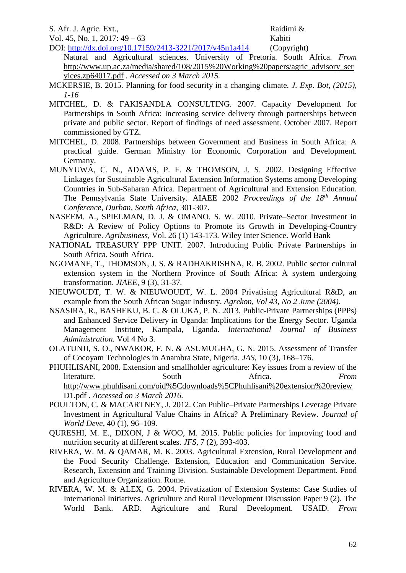S. Afr. J. Agric. Ext., Raidimi &

Vol. 45, No. 1, 2017: 49 – 63 Kabiti

DOI: http://dx.doi.org/10.17159/2413-3221/2017/y45n1a414 (Copyright) Natural and Agricultural sciences. University of Pretoria. South Africa. *From*  [http://www.up.ac.za/media/shared/108/2015%20Working%20papers/agric\\_advisory\\_ser](http://www.up.ac.za/media/shared/108/2015%20Working%20papers/agric_advisory_services.zp64017.pdf) [vices.zp64017.pdf](http://www.up.ac.za/media/shared/108/2015%20Working%20papers/agric_advisory_services.zp64017.pdf) *. Accessed on 3 March 2015.*

- MCKERSIE, B. 2015. Planning for food security in a changing climate. *J. Exp. Bot, (2015), 1-16*
- MITCHEL, D. & FAKISANDLA CONSULTING. 2007. Capacity Development for Partnerships in South Africa: Increasing service delivery through partnerships between private and public sector. Report of findings of need assessment. October 2007. Report commissioned by GTZ.
- MITCHEL, D. 2008. Partnerships between Government and Business in South Africa: A practical guide. German Ministry for Economic Corporation and Development. Germany.
- MUNYUWA, C. N., ADAMS, P. F. & THOMSON, J. S. 2002. Designing Effective Linkages for Sustainable Agricultural Extension Information Systems among Developing Countries in Sub-Saharan Africa. Department of Agricultural and Extension Education. The Pennsylvania State University. AIAEE 2002 *Proceedings of the 18th Annual Conference, Durban, South Africa,* 301-307.
- NASEEM. A., SPIELMAN, D. J. & OMANO. S. W. 2010. Private–Sector Investment in R&D: A Review of Policy Options to Promote its Growth in Developing-Country Agriculture. *Agribusiness,* Vol. 26 (1) 143-173*.* Wiley Inter Science. World Bank
- NATIONAL TREASURY PPP UNIT. 2007. Introducing Public Private Partnerships in South Africa. South Africa.
- NGOMANE, T., THOMSON, J. S. & RADHAKRISHNA, R. B. 2002. Public sector cultural extension system in the Northern Province of South Africa: A system undergoing transformation. *JIAEE,* 9 (3), 31-37*.*
- NIEUWOUDT, T. W. & NIEUWOUDT, W. L. 2004 Privatising Agricultural R&D, an example from the South African Sugar Industry. *Agrekon, Vol 43, No 2 June (2004).*
- NSASIRA, R., BASHEKU, B. C. & OLUKA, P. N. 2013. Public-Private Partnerships (PPPs) and Enhanced Service Delivery in Uganda: Implications for the Energy Sector. Uganda Management Institute, Kampala, Uganda. *International Journal of Business Administration.* Vol 4 No 3*.*
- OLATUNJI, S. O., NWAKOR, F. N. & ASUMUGHA, G. N. 2015. Assessment of Transfer of Cocoyam Technologies in Anambra State, Nigeria. *JAS,* 10 (3), 168–176.
- PHUHLISANI, 2008. Extension and smallholder agriculture: Key issues from a review of the literature. South Africa. *From*  [http://www.phuhlisani.com/oid%5Cdownloads%5CPhuhlisani%20extension%20review](http://www.phuhlisani.com/oid%5Cdownloads%5CPhuhlisani%20extension%20reviewD1.pdf) [D1.pdf](http://www.phuhlisani.com/oid%5Cdownloads%5CPhuhlisani%20extension%20reviewD1.pdf) *. Accessed on 3 March 2016.*
- POULTON, C. & MACARTNEY, J. 2012. Can Public–Private Partnerships Leverage Private Investment in Agricultural Value Chains in Africa? A Preliminary Review. *Journal of World Deve,* 40 (1), 96–109*.*
- QURESHI, M. E., DIXON, J & WOO, M. 2015. Public policies for improving food and nutrition security at different scales. *JFS,* 7 (2), 393-403.
- RIVERA, W. M. & QAMAR, M. K. 2003. Agricultural Extension, Rural Development and the Food Security Challenge. Extension, Education and Communication Service. Research, Extension and Training Division. Sustainable Development Department. Food and Agriculture Organization. Rome.
- RIVERA, W. M. & ALEX, G. 2004. Privatization of Extension Systems: Case Studies of International Initiatives. Agriculture and Rural Development Discussion Paper 9 (2). The World Bank. ARD. Agriculture and Rural Development. USAID. *From*